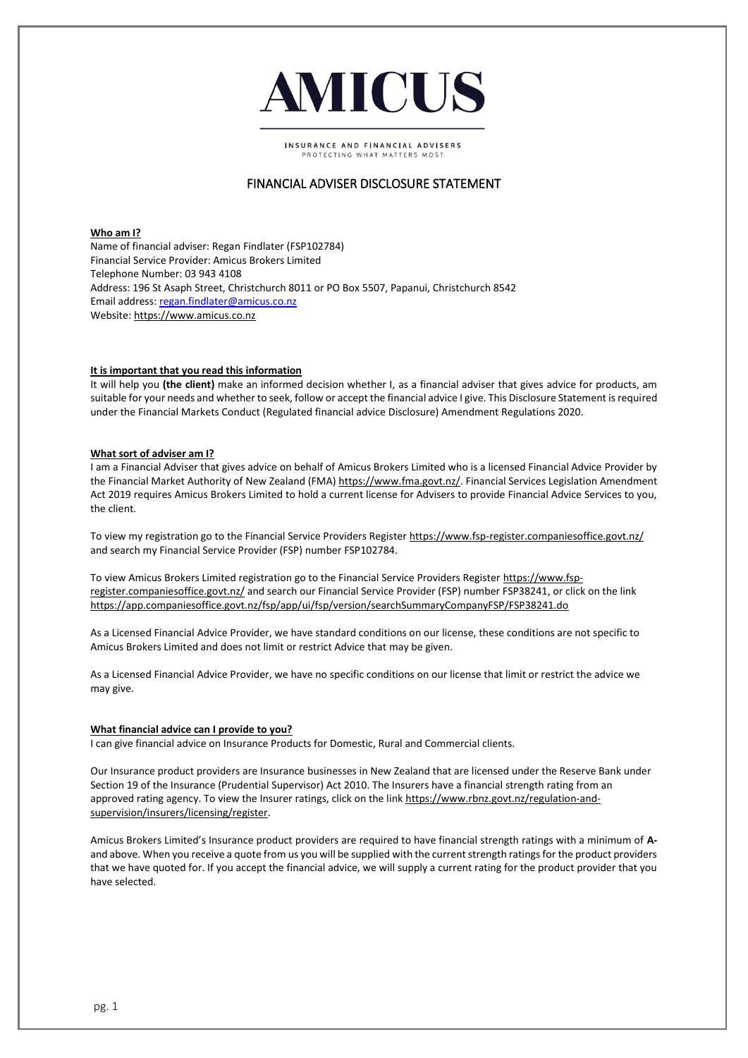

**INSURANCE AND FINANCIAL ADVISERS** ROTECTING WHAT MATTERS MOS

# FINANCIAL ADVISER DISCLOSURE STATEMENT

**Who am I?** Name of financial adviser: Regan Findlater (FSP102784) Financial Service Provider: Amicus Brokers Limited Telephone Number: 03 943 4108 Address: 196 St Asaph Street, Christchurch 8011 or PO Box 5507, Papanui, Christchurch 8542 Email address: [regan.findlater@amicus.co.nz](mailto:regan.findlater@amicus.co.nz) Website[: https://www.amicus.co.nz](https://www.amicus.co.nz/)

## **It is important that you read this information**

It will help you **(the client)** make an informed decision whether I, as a financial adviser that gives advice for products, am suitable for your needs and whether to seek, follow or accept the financial advice I give. This Disclosure Statement is required under the Financial Markets Conduct (Regulated financial advice Disclosure) Amendment Regulations 2020.

## **What sort of adviser am I?**

I am a Financial Adviser that gives advice on behalf of Amicus Brokers Limited who is a licensed Financial Advice Provider by the Financial Market Authority of New Zealand (FMA[\) https://www.fma.govt.nz/.](https://www.fma.govt.nz/) Financial Services Legislation Amendment Act 2019 requires Amicus Brokers Limited to hold a current license for Advisers to provide Financial Advice Services to you, the client.

To view my registration go to the Financial Service Providers Register<https://www.fsp-register.companiesoffice.govt.nz/> and search my Financial Service Provider (FSP) number FSP102784.

To view Amicus Brokers Limited registration go to the Financial Service Providers Registe[r https://www.fsp](https://www.fsp-register.companiesoffice.govt.nz/)[register.companiesoffice.govt.nz/](https://www.fsp-register.companiesoffice.govt.nz/) and search our Financial Service Provider (FSP) number FSP38241, or click on the link <https://app.companiesoffice.govt.nz/fsp/app/ui/fsp/version/searchSummaryCompanyFSP/FSP38241.do>

As a Licensed Financial Advice Provider, we have standard conditions on our license, these conditions are not specific to Amicus Brokers Limited and does not limit or restrict Advice that may be given.

As a Licensed Financial Advice Provider, we have no specific conditions on our license that limit or restrict the advice we may give.

## **What financial advice can I provide to you?**

I can give financial advice on Insurance Products for Domestic, Rural and Commercial clients.

Our Insurance product providers are Insurance businesses in New Zealand that are licensed under the Reserve Bank under Section 19 of the Insurance (Prudential Supervisor) Act 2010. The Insurers have a financial strength rating from an approved rating agency. To view the Insurer ratings, click on the link [https://www.rbnz.govt.nz/regulation-and](https://www.rbnz.govt.nz/regulation-and-supervision/insurers/licensing/register)[supervision/insurers/licensing/register.](https://www.rbnz.govt.nz/regulation-and-supervision/insurers/licensing/register)

Amicus Brokers Limited's Insurance product providers are required to have financial strength ratings with a minimum of **A**and above. When you receive a quote from us you will be supplied with the current strength ratings for the product providers that we have quoted for. If you accept the financial advice, we will supply a current rating for the product provider that you have selected.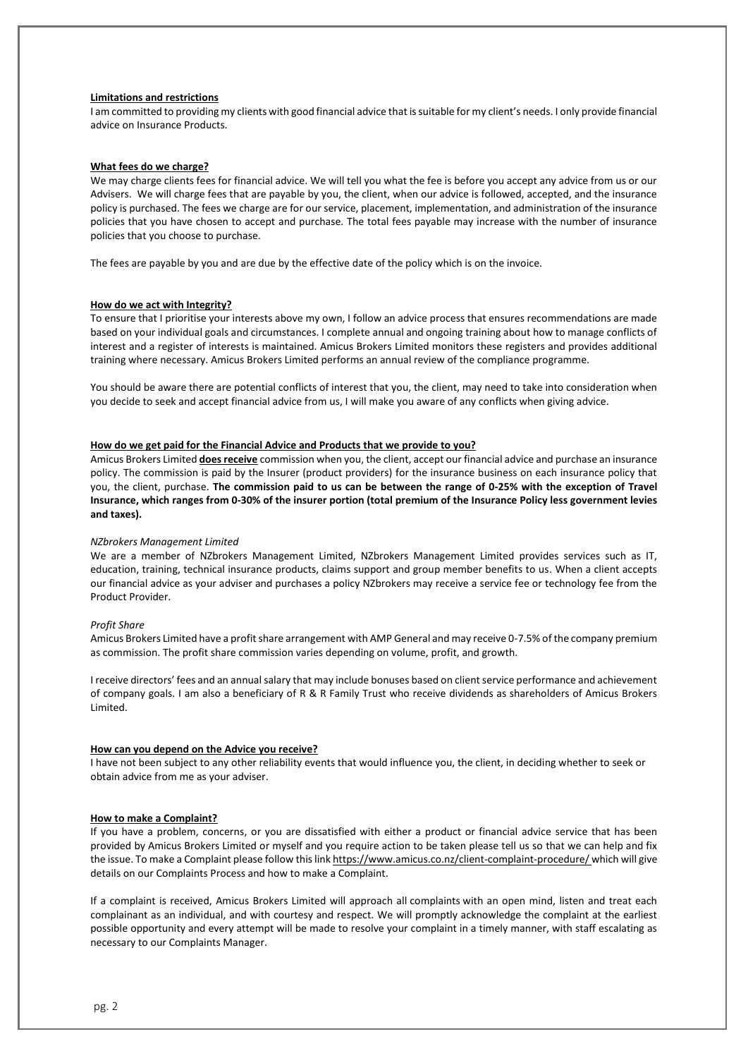## **Limitations and restrictions**

I am committed to providing my clients with good financial advice that is suitable for my client's needs. I only provide financial advice on Insurance Products.

#### **What fees do we charge?**

We may charge clients fees for financial advice. We will tell you what the fee is before you accept any advice from us or our Advisers. We will charge fees that are payable by you, the client, when our advice is followed, accepted, and the insurance policy is purchased. The fees we charge are for our service, placement, implementation, and administration of the insurance policies that you have chosen to accept and purchase. The total fees payable may increase with the number of insurance policies that you choose to purchase.

The fees are payable by you and are due by the effective date of the policy which is on the invoice.

#### **How do we act with Integrity?**

To ensure that I prioritise your interests above my own, I follow an advice process that ensures recommendations are made based on your individual goals and circumstances. I complete annual and ongoing training about how to manage conflicts of interest and a register of interests is maintained. Amicus Brokers Limited monitors these registers and provides additional training where necessary. Amicus Brokers Limited performs an annual review of the compliance programme.

You should be aware there are potential conflicts of interest that you, the client, may need to take into consideration when you decide to seek and accept financial advice from us, I will make you aware of any conflicts when giving advice.

## **How do we get paid for the Financial Advice and Products that we provide to you?**

Amicus Brokers Limited **does receive** commission when you, the client, accept our financial advice and purchase an insurance policy. The commission is paid by the Insurer (product providers) for the insurance business on each insurance policy that you, the client, purchase. **The commission paid to us can be between the range of 0-25% with the exception of Travel Insurance, which ranges from 0-30% of the insurer portion (total premium of the Insurance Policy less government levies and taxes).**

#### *NZbrokers Management Limited*

We are a member of NZbrokers Management Limited, NZbrokers Management Limited provides services such as IT, education, training, technical insurance products, claims support and group member benefits to us. When a client accepts our financial advice as your adviser and purchases a policy NZbrokers may receive a service fee or technology fee from the Product Provider.

### *Profit Share*

Amicus Brokers Limited have a profit share arrangement with AMP General and may receive 0-7.5% of the company premium as commission. The profit share commission varies depending on volume, profit, and growth.

I receive directors' fees and an annual salary that may include bonuses based on client service performance and achievement of company goals. I am also a beneficiary of R & R Family Trust who receive dividends as shareholders of Amicus Brokers Limited.

### **How can you depend on the Advice you receive?**

I have not been subject to any other reliability events that would influence you, the client, in deciding whether to seek or obtain advice from me as your adviser.

## **How to make a Complaint?**

If you have a problem, concerns, or you are dissatisfied with either a product or financial advice service that has been provided by Amicus Brokers Limited or myself and you require action to be taken please tell us so that we can help and fix the issue. To make a Complaint please follow this lin[k https://www.amicus.co.nz/client-complaint-procedure/](https://www.amicus.co.nz/client-complaint-procedure/) which will give details on our Complaints Process and how to make a Complaint.

If a complaint is received, Amicus Brokers Limited will approach all complaints with an open mind, listen and treat each complainant as an individual, and with courtesy and respect. We will promptly acknowledge the complaint at the earliest possible opportunity and every attempt will be made to resolve your complaint in a timely manner, with staff escalating as necessary to our Complaints Manager.